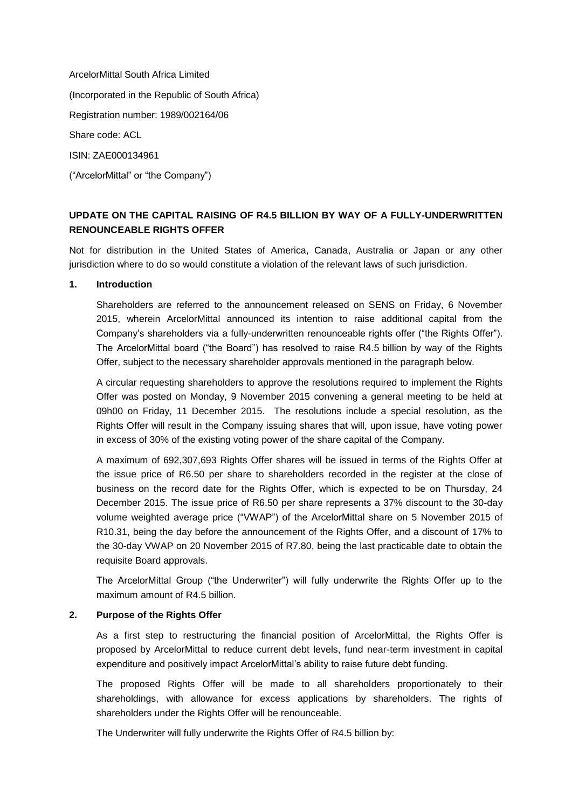ArcelorMittal South Africa Limited (Incorporated in the Republic of South Africa) Registration number: 1989/002164/06 Share code: ACL ISIN: ZAE000134961 ("ArcelorMittal" or "the Company")

# **UPDATE ON THE CAPITAL RAISING OF R4.5 BILLION BY WAY OF A FULLY-UNDERWRITTEN RENOUNCEABLE RIGHTS OFFER**

Not for distribution in the United States of America, Canada, Australia or Japan or any other jurisdiction where to do so would constitute a violation of the relevant laws of such jurisdiction.

### **1. Introduction**

Shareholders are referred to the announcement released on SENS on Friday, 6 November 2015, wherein ArcelorMittal announced its intention to raise additional capital from the Company's shareholders via a fully-underwritten renounceable rights offer ("the Rights Offer"). The ArcelorMittal board ("the Board") has resolved to raise R4.5 billion by way of the Rights Offer, subject to the necessary shareholder approvals mentioned in the paragraph below.

A circular requesting shareholders to approve the resolutions required to implement the Rights Offer was posted on Monday, 9 November 2015 convening a general meeting to be held at 09h00 on Friday, 11 December 2015. The resolutions include a special resolution, as the Rights Offer will result in the Company issuing shares that will, upon issue, have voting power in excess of 30% of the existing voting power of the share capital of the Company.

A maximum of 692,307,693 Rights Offer shares will be issued in terms of the Rights Offer at the issue price of R6.50 per share to shareholders recorded in the register at the close of business on the record date for the Rights Offer, which is expected to be on Thursday, 24 December 2015. The issue price of R6.50 per share represents a 37% discount to the 30-day volume weighted average price ("VWAP") of the ArcelorMittal share on 5 November 2015 of R10.31, being the day before the announcement of the Rights Offer, and a discount of 17% to the 30-day VWAP on 20 November 2015 of R7.80, being the last practicable date to obtain the requisite Board approvals.

The ArcelorMittal Group ("the Underwriter") will fully underwrite the Rights Offer up to the maximum amount of R4.5 billion.

#### **2. Purpose of the Rights Offer**

As a first step to restructuring the financial position of ArcelorMittal, the Rights Offer is proposed by ArcelorMittal to reduce current debt levels, fund near-term investment in capital expenditure and positively impact ArcelorMittal's ability to raise future debt funding.

The proposed Rights Offer will be made to all shareholders proportionately to their shareholdings, with allowance for excess applications by shareholders. The rights of shareholders under the Rights Offer will be renounceable.

The Underwriter will fully underwrite the Rights Offer of R4.5 billion by: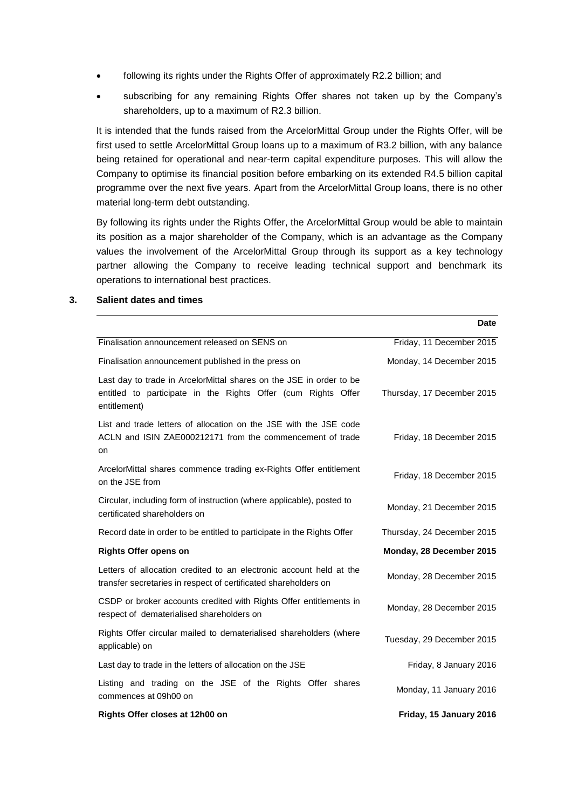- following its rights under the Rights Offer of approximately R2.2 billion; and
- subscribing for any remaining Rights Offer shares not taken up by the Company's shareholders, up to a maximum of R2.3 billion.

It is intended that the funds raised from the ArcelorMittal Group under the Rights Offer, will be first used to settle ArcelorMittal Group loans up to a maximum of R3.2 billion, with any balance being retained for operational and near-term capital expenditure purposes. This will allow the Company to optimise its financial position before embarking on its extended R4.5 billion capital programme over the next five years. Apart from the ArcelorMittal Group loans, there is no other material long-term debt outstanding.

By following its rights under the Rights Offer, the ArcelorMittal Group would be able to maintain its position as a major shareholder of the Company, which is an advantage as the Company values the involvement of the ArcelorMittal Group through its support as a key technology partner allowing the Company to receive leading technical support and benchmark its operations to international best practices.

|                                                                                                                                                      | <b>Date</b>                |
|------------------------------------------------------------------------------------------------------------------------------------------------------|----------------------------|
| Finalisation announcement released on SENS on                                                                                                        | Friday, 11 December 2015   |
| Finalisation announcement published in the press on                                                                                                  | Monday, 14 December 2015   |
| Last day to trade in ArcelorMittal shares on the JSE in order to be<br>entitled to participate in the Rights Offer (cum Rights Offer<br>entitlement) | Thursday, 17 December 2015 |
| List and trade letters of allocation on the JSE with the JSE code<br>ACLN and ISIN ZAE000212171 from the commencement of trade<br>on                 | Friday, 18 December 2015   |
| ArcelorMittal shares commence trading ex-Rights Offer entitlement<br>on the JSE from                                                                 | Friday, 18 December 2015   |
| Circular, including form of instruction (where applicable), posted to<br>certificated shareholders on                                                | Monday, 21 December 2015   |
| Record date in order to be entitled to participate in the Rights Offer                                                                               | Thursday, 24 December 2015 |
| <b>Rights Offer opens on</b>                                                                                                                         | Monday, 28 December 2015   |
| Letters of allocation credited to an electronic account held at the<br>transfer secretaries in respect of certificated shareholders on               | Monday, 28 December 2015   |
| CSDP or broker accounts credited with Rights Offer entitlements in<br>respect of dematerialised shareholders on                                      | Monday, 28 December 2015   |
| Rights Offer circular mailed to dematerialised shareholders (where<br>applicable) on                                                                 | Tuesday, 29 December 2015  |
| Last day to trade in the letters of allocation on the JSE                                                                                            | Friday, 8 January 2016     |
| Listing and trading on the JSE of the Rights Offer shares<br>commences at 09h00 on                                                                   | Monday, 11 January 2016    |
| Rights Offer closes at 12h00 on                                                                                                                      | Friday, 15 January 2016    |

### **3. Salient dates and times**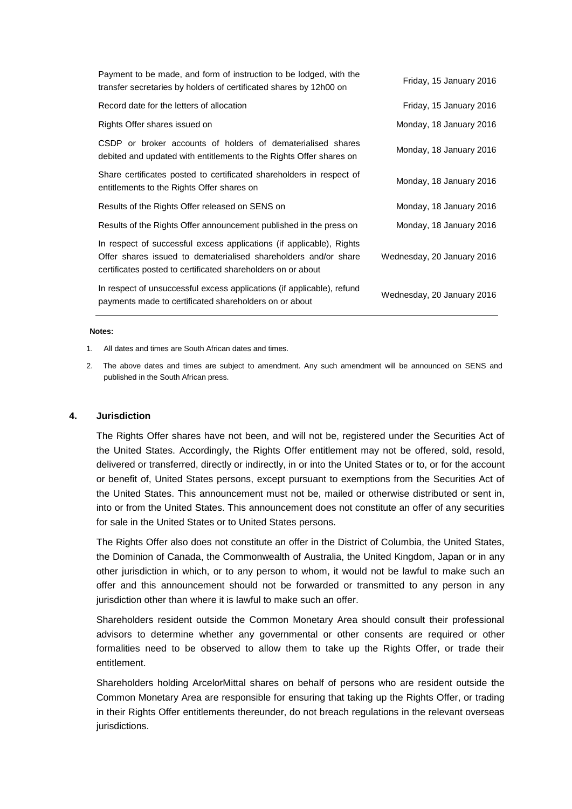| Payment to be made, and form of instruction to be lodged, with the<br>transfer secretaries by holders of certificated shares by 12h00 on                                                                | Friday, 15 January 2016    |
|---------------------------------------------------------------------------------------------------------------------------------------------------------------------------------------------------------|----------------------------|
| Record date for the letters of allocation                                                                                                                                                               | Friday, 15 January 2016    |
| Rights Offer shares issued on                                                                                                                                                                           | Monday, 18 January 2016    |
| CSDP or broker accounts of holders of dematerialised shares<br>debited and updated with entitlements to the Rights Offer shares on                                                                      | Monday, 18 January 2016    |
| Share certificates posted to certificated shareholders in respect of<br>entitlements to the Rights Offer shares on                                                                                      | Monday, 18 January 2016    |
| Results of the Rights Offer released on SENS on                                                                                                                                                         | Monday, 18 January 2016    |
| Results of the Rights Offer announcement published in the press on                                                                                                                                      | Monday, 18 January 2016    |
| In respect of successful excess applications (if applicable), Rights<br>Offer shares issued to dematerialised shareholders and/or share<br>certificates posted to certificated shareholders on or about | Wednesday, 20 January 2016 |
| In respect of unsuccessful excess applications (if applicable), refund<br>payments made to certificated shareholders on or about                                                                        | Wednesday, 20 January 2016 |
|                                                                                                                                                                                                         |                            |

#### **Notes:**

1. All dates and times are South African dates and times.

2. The above dates and times are subject to amendment. Any such amendment will be announced on SENS and published in the South African press.

#### **4. Jurisdiction**

The Rights Offer shares have not been, and will not be, registered under the Securities Act of the United States. Accordingly, the Rights Offer entitlement may not be offered, sold, resold, delivered or transferred, directly or indirectly, in or into the United States or to, or for the account or benefit of, United States persons, except pursuant to exemptions from the Securities Act of the United States. This announcement must not be, mailed or otherwise distributed or sent in, into or from the United States. This announcement does not constitute an offer of any securities for sale in the United States or to United States persons.

The Rights Offer also does not constitute an offer in the District of Columbia, the United States, the Dominion of Canada, the Commonwealth of Australia, the United Kingdom, Japan or in any other jurisdiction in which, or to any person to whom, it would not be lawful to make such an offer and this announcement should not be forwarded or transmitted to any person in any jurisdiction other than where it is lawful to make such an offer.

Shareholders resident outside the Common Monetary Area should consult their professional advisors to determine whether any governmental or other consents are required or other formalities need to be observed to allow them to take up the Rights Offer, or trade their entitlement.

Shareholders holding ArcelorMittal shares on behalf of persons who are resident outside the Common Monetary Area are responsible for ensuring that taking up the Rights Offer, or trading in their Rights Offer entitlements thereunder, do not breach regulations in the relevant overseas jurisdictions.